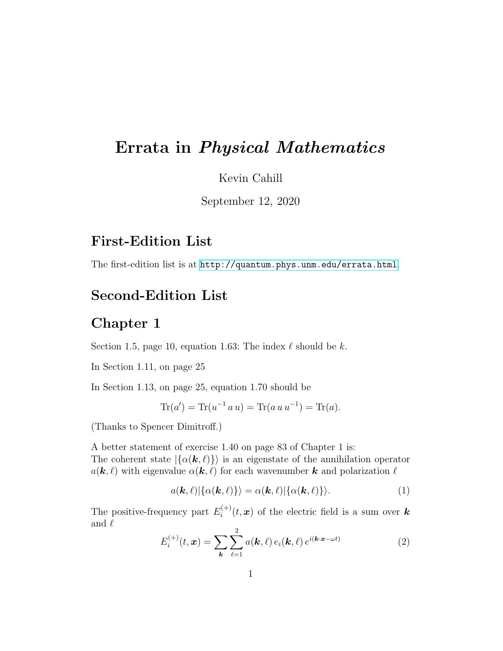# Errata in Physical Mathematics

Kevin Cahill

September 12, 2020

# First-Edition List

The first-edition list is at <http://quantum.phys.unm.edu/errata.html>.

# Second-Edition List

#### Chapter 1

Section 1.5, page 10, equation 1.63: The index  $\ell$  should be k.

In Section 1.11, on page 25

In Section 1.13, on page 25, equation 1.70 should be

$$
Tr(a') = Tr(u^{-1} a u) = Tr(a u u^{-1}) = Tr(a).
$$

(Thanks to Spencer Dimitroff.)

A better statement of exercise 1.40 on page 83 of Chapter 1 is: The coherent state  $|\{\alpha(\mathbf{k},\ell)\}\rangle$  is an eigenstate of the annihilation operator  $a(\mathbf{k}, \ell)$  with eigenvalue  $\alpha(\mathbf{k}, \ell)$  for each wavenumber k and polarization  $\ell$ 

$$
a(\mathbf{k},\ell)|\{\alpha(\mathbf{k},\ell)\}\rangle = \alpha(\mathbf{k},\ell)|\{\alpha(\mathbf{k},\ell)\}\rangle.
$$
 (1)

The positive-frequency part  $E_i^{(+)}$  $\mathbf{z}_i^{(+)}(t,\mathbf{x})$  of the electric field is a sum over  $\mathbf{k}$ and  $\ell$ 

$$
E_i^{(+)}(t, \mathbf{x}) = \sum_{\mathbf{k}} \sum_{\ell=1}^2 a(\mathbf{k}, \ell) e_i(\mathbf{k}, \ell) e^{i(\mathbf{k} \cdot \mathbf{x} - \omega t)}
$$
(2)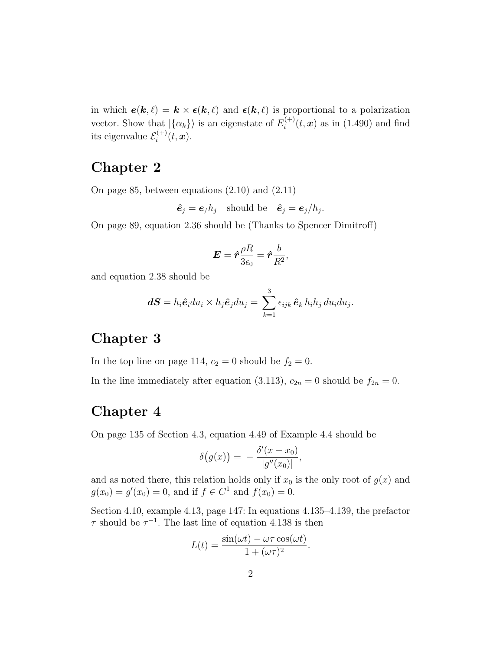in which  $e(k, \ell) = k \times \epsilon(k, \ell)$  and  $\epsilon(k, \ell)$  is proportional to a polarization vector. Show that  $|\{\alpha_k\}\rangle$  is an eigenstate of  $E_i^{(+)}$  $i_i^{(+)}(t, x)$  as in (1.490) and find its eigenvalue  $\mathcal{E}_i^{(+)}$  $i^{(+)}(t,\boldsymbol{x}).$ 

# Chapter 2

On page 85, between equations (2.10) and (2.11)

 $\hat{\mathbf{e}}_j = \mathbf{e}_j h_j$  should be  $\hat{\mathbf{e}}_j = \mathbf{e}_j/h_j$ .

On page 89, equation 2.36 should be (Thanks to Spencer Dimitroff)

$$
\boldsymbol{E} = \hat{\boldsymbol{r}} \frac{\rho R}{3\epsilon_0} = \hat{\boldsymbol{r}} \frac{b}{R^2},
$$

and equation 2.38 should be

$$
\boldsymbol{dS}=h_i\hat{\boldsymbol{e}}_idu_i\times h_j\hat{\boldsymbol{e}}_jdu_j=\sum_{k=1}^3\epsilon_{ijk}\,\hat{\boldsymbol{e}}_k\,h_ih_j\,du_idu_j.
$$

#### Chapter 3

In the top line on page 114,  $c_2 = 0$  should be  $f_2 = 0$ .

In the line immediately after equation (3.113),  $c_{2n} = 0$  should be  $f_{2n} = 0$ .

#### Chapter 4

On page 135 of Section 4.3, equation 4.49 of Example 4.4 should be

$$
\delta\big(g(x)\big) = -\frac{\delta'(x-x_0)}{|g''(x_0)|},
$$

and as noted there, this relation holds only if  $x_0$  is the only root of  $g(x)$  and  $g(x_0) = g'(x_0) = 0$ , and if  $f \in C^1$  and  $f(x_0) = 0$ .

Section 4.10, example 4.13, page 147: In equations 4.135–4.139, the prefactor  $\tau$  should be  $\tau^{-1}$ . The last line of equation 4.138 is then

$$
L(t) = \frac{\sin(\omega t) - \omega \tau \cos(\omega t)}{1 + (\omega \tau)^2}.
$$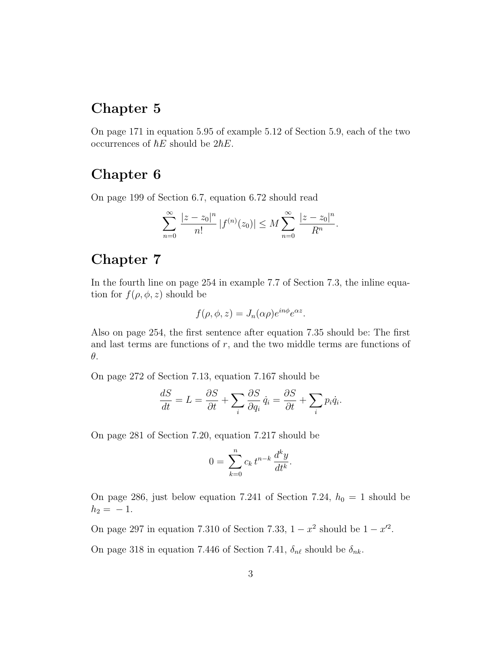# Chapter 5

On page 171 in equation 5.95 of example 5.12 of Section 5.9, each of the two occurrences of  $\hbar E$  should be  $2\hbar E$ .

# Chapter 6

On page 199 of Section 6.7, equation 6.72 should read

$$
\sum_{n=0}^{\infty} \frac{|z - z_0|^n}{n!} |f^{(n)}(z_0)| \le M \sum_{n=0}^{\infty} \frac{|z - z_0|^n}{R^n}.
$$

# Chapter 7

In the fourth line on page 254 in example 7.7 of Section 7.3, the inline equation for  $f(\rho, \phi, z)$  should be

$$
f(\rho, \phi, z) = J_n(\alpha \rho) e^{i n \phi} e^{\alpha z}.
$$

Also on page 254, the first sentence after equation 7.35 should be: The first and last terms are functions of  $r$ , and the two middle terms are functions of θ.

On page 272 of Section 7.13, equation 7.167 should be

$$
\frac{dS}{dt} = L = \frac{\partial S}{\partial t} + \sum_{i} \frac{\partial S}{\partial q_i} \dot{q}_i = \frac{\partial S}{\partial t} + \sum_{i} p_i \dot{q}_i.
$$

On page 281 of Section 7.20, equation 7.217 should be

$$
0 = \sum_{k=0}^{n} c_k t^{n-k} \frac{d^k y}{dt^k}.
$$

On page 286, just below equation 7.241 of Section 7.24,  $h_0 = 1$  should be  $h_2 = -1.$ 

On page 297 in equation 7.310 of Section 7.33,  $1 - x^2$  should be  $1 - x'^2$ .

On page 318 in equation 7.446 of Section 7.41,  $\delta_{n\ell}$  should be  $\delta_{nk}$ .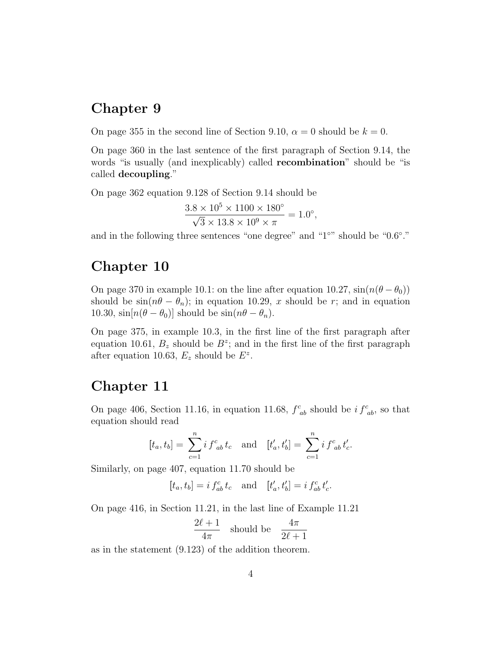# Chapter 9

On page 355 in the second line of Section 9.10,  $\alpha = 0$  should be  $k = 0$ .

On page 360 in the last sentence of the first paragraph of Section 9.14, the words "is usually (and inexplicably) called recombination" should be "is called decoupling."

On page 362 equation 9.128 of Section 9.14 should be

$$
\frac{3.8 \times 10^5 \times 1100 \times 180^{\circ}}{\sqrt{3} \times 13.8 \times 10^9 \times \pi} = 1.0^{\circ},
$$

and in the following three sentences "one degree" and "1°" should be "0.6°."

#### Chapter 10

On page 370 in example 10.1: on the line after equation 10.27,  $\sin(n(\theta - \theta_0))$ should be  $sin(n\theta - \theta_n)$ ; in equation 10.29, x should be r; and in equation 10.30,  $\sin[n(\theta - \theta_0)]$  should be  $\sin(n\theta - \theta_n)$ .

On page 375, in example 10.3, in the first line of the first paragraph after equation 10.61,  $B_z$  should be  $B^z$ ; and in the first line of the first paragraph after equation 10.63,  $E_z$  should be  $E^z$ .

#### Chapter 11

On page 406, Section 11.16, in equation 11.68,  $f^c_{ab}$  should be  $i f^c_{ab}$ , so that equation should read

$$
[t_a, t_b] = \sum_{c=1}^n i f_{ab}^c t_c
$$
 and  $[t'_a, t'_b] = \sum_{c=1}^n i f_{ab}^c t'_c$ .

Similarly, on page 407, equation 11.70 should be

 $[t_a, t_b] = i f_{ab}^c t_c$  and  $[t'_a, t'_b] = i f_{ab}^c t'_c$ .

On page 416, in Section 11.21, in the last line of Example 11.21

$$
\frac{2\ell+1}{4\pi} \quad \text{should be} \quad \frac{4\pi}{2\ell+1}
$$

as in the statement (9.123) of the addition theorem.